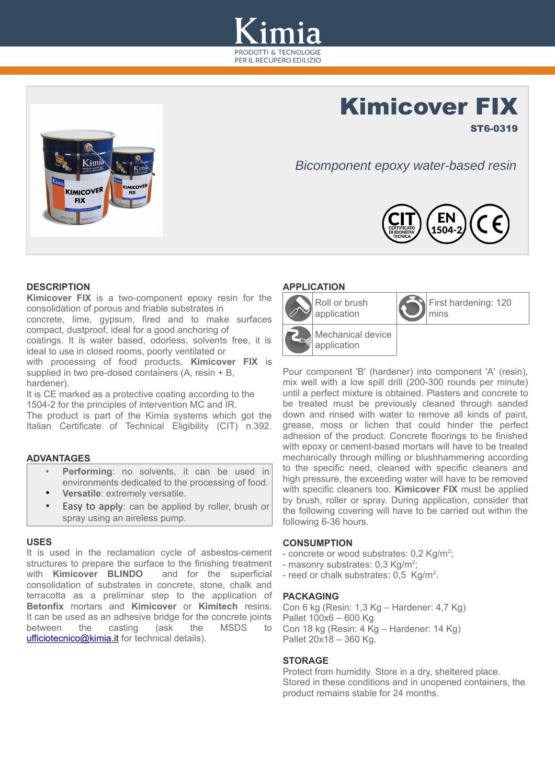

# Kimicover FIX



*Bicomponent epoxy water-based resin*



# **DESCRIPTION**

**Kimicover FIX** is a two-component epoxy resin for the consolidation of porous and friable substrates in

concrete, lime, gypsum, fired and to make surfaces compact, dustproof, ideal for a good anchoring of

coatings. It is water based, odorless, solvents free, it is ideal to use in closed rooms, poorly ventilated or

with processing of food products. **Kimicover FIX** is supplied in two pre-dosed containers (A, resin + B, hardener).

It is CE marked as a protective coating according to the 1504-2 for the principles of intervention MC and IR.

The product is part of the Kimia systems which got the Italian Certificate of Technical Eligibility (CIT) n.392.

# **ADVANTAGES**

- **Performing**: no solvents, it can be used in environments dedicated to the processing of food.
- **Versatile**: extremely versatile.
- Easy to a**pply**: can be applied by roller, brush or spray using an aireless pump.

#### **USES**

It is used in the reclamation cycle of asbestos-cement structures to prepare the surface to the finishing treatment with **Kimicover BLINDO** and for the superficial consolidation of substrates in concrete, stone, chalk and terracotta as a preliminar step to the application of **Betonfix** mortars and **Kimicover** or **Kimitech** resins. It can be used as an adhesive bridge for the concrete joints between the casting (ask the MSDS to [ufficiotecnico@kimia.it](mailto:ufficiotecnico@kimia.it) for technical details).

### **APPLICATION**



First hardening: 120 mins

ST6-0319

Pour component 'B' (hardener) into component 'A' (resin), mix well with a low spill drill (200-300 rounds per minute) until a perfect mixture is obtained. Plasters and concrete to be treated must be previously cleaned through sanded down and rinsed with water to remove all kinds of paint, grease, moss or lichen that could hinder the perfect adhesion of the product. Concrete floorings to be finished with epoxy or cement-based mortars will have to be treated mechanically through milling or blushhammering according to the specific need, cleaned with specific cleaners and high pressure, the exceeding water will have to be removed with specific cleaners too. **Kimicover FIX** must be applied by brush, roller or spray. During application, consider that the following covering will have to be carried out within the following 6-36 hours.

#### **CONSUMPTION**

- concrete or wood substrates:  $0.2$  Kg/m<sup>2</sup>;
- masonry substrates:  $0,3$  Kg/m<sup>2</sup>;
- reed or chalk substrates:  $0.5$  Kg/m<sup>2</sup>.

#### **PACKAGING**

Con 6 kg (Resin: 1,3 Kg – Hardener: 4,7 Kg) Pallet 100x6 – 600 Kg Con 18 kg (Resin: 4 Kg – Hardener: 14 Kg) Pallet 20x18 – 360 Kg.

#### **STORAGE**

Protect from humidity. Store in a dry, sheltered place. Stored in these conditions and in unopened containers, the product remains stable for 24 months.